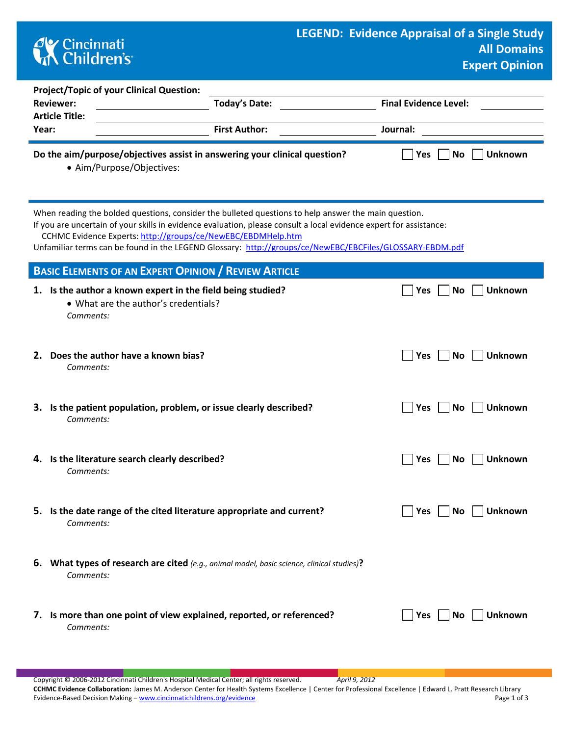## **CK** Cincinnati<br> **Children's**

| <b>Project/Topic of your Clinical Question:</b>                                                                                                                                                                                                                                            |                      |                              |  |  |  |  |  |
|--------------------------------------------------------------------------------------------------------------------------------------------------------------------------------------------------------------------------------------------------------------------------------------------|----------------------|------------------------------|--|--|--|--|--|
| <b>Reviewer:</b>                                                                                                                                                                                                                                                                           | Today's Date:        | <b>Final Evidence Level:</b> |  |  |  |  |  |
| <b>Article Title:</b>                                                                                                                                                                                                                                                                      |                      |                              |  |  |  |  |  |
| Year:                                                                                                                                                                                                                                                                                      | <b>First Author:</b> | Journal:                     |  |  |  |  |  |
|                                                                                                                                                                                                                                                                                            |                      |                              |  |  |  |  |  |
| Do the aim/purpose/objectives assist in answering your clinical question?<br>No<br>Yes<br><b>Unknown</b><br>• Aim/Purpose/Objectives:                                                                                                                                                      |                      |                              |  |  |  |  |  |
| When reading the bolded questions, consider the bulleted questions to help answer the main question.<br>If you are uncertain of your skills in evidence evaluation, please consult a local evidence expert for assistance:<br>CCHMC Evidence Experts: http://groups/ce/NewEBC/EBDMHelp.htm |                      |                              |  |  |  |  |  |

Unfamiliar terms can be found in the LEGEND Glossary: <http://groups/ce/NewEBC/EBCFiles/GLOSSARY-EBDM.pdf>

| <b>BASIC ELEMENTS OF AN EXPERT OPINION / REVIEW ARTICLE</b> |                                                                                                                  |                         |                |  |
|-------------------------------------------------------------|------------------------------------------------------------------------------------------------------------------|-------------------------|----------------|--|
|                                                             | 1. Is the author a known expert in the field being studied?<br>• What are the author's credentials?<br>Comments: | <b>No</b><br><b>Yes</b> | <b>Unknown</b> |  |
|                                                             | 2. Does the author have a known bias?<br>Comments:                                                               | Yes<br><b>No</b>        | <b>Unknown</b> |  |
|                                                             | 3. Is the patient population, problem, or issue clearly described?<br>Comments:                                  | Yes<br><b>No</b>        | <b>Unknown</b> |  |
|                                                             | 4. Is the literature search clearly described?<br>Comments:                                                      | Yes<br><b>No</b>        | <b>Unknown</b> |  |
|                                                             | 5. Is the date range of the cited literature appropriate and current?<br>Comments:                               | Yes<br><b>No</b>        | Unknown        |  |
|                                                             | 6. What types of research are cited (e.g., animal model, basic science, clinical studies)?<br>Comments:          |                         |                |  |
|                                                             | 7. Is more than one point of view explained, reported, or referenced?<br>Comments:                               | <b>Yes</b><br><b>No</b> | <b>Unknown</b> |  |

Copyright © 2006-2012 Cincinnati Children's Hospital Medical Center; all rights reserved. *April 9, 2012* **CCHMC Evidence Collaboration:** James M. Anderson Center for Health Systems Excellence | Center for Professional Excellence | Edward L. Pratt Research Library Evidence-Based Decision Making – [www.cincinnatichildrens.org/evidence](http://www.cincinnatichildrens.org/service/j/anderson-center/evidence-based-care/legend/) Page 1 of 3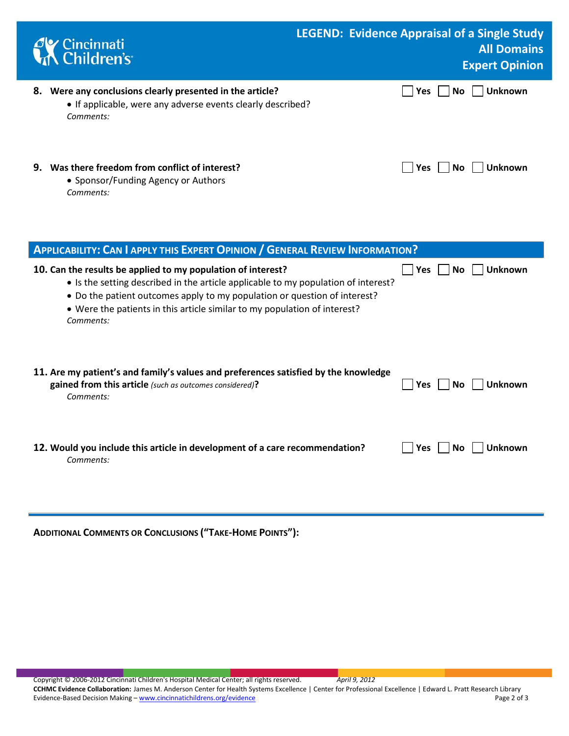|    | <b>C</b> K Cincinnati<br><b>Children's</b>                                                                                         | <b>LEGEND: Evidence Appraisal of a Single Study</b><br><b>All Domains</b><br><b>Expert Opinion</b> |
|----|------------------------------------------------------------------------------------------------------------------------------------|----------------------------------------------------------------------------------------------------|
| 8. | Were any conclusions clearly presented in the article?<br>• If applicable, were any adverse events clearly described?<br>Comments: | <b>Unknown</b><br><b>Yes</b><br>No.                                                                |
| 9. | Was there freedom from conflict of interest?<br>• Sponsor/Funding Agency or Authors<br>Comments:                                   | Yes<br>Unknown<br>No.                                                                              |

| <b>APPLICABILITY: CAN I APPLY THIS EXPERT OPINION / GENERAL REVIEW INFORMATION?</b>                                                                                                                                                                                                                                       |                              |  |  |  |
|---------------------------------------------------------------------------------------------------------------------------------------------------------------------------------------------------------------------------------------------------------------------------------------------------------------------------|------------------------------|--|--|--|
| 10. Can the results be applied to my population of interest?<br>• Is the setting described in the article applicable to my population of interest?<br>• Do the patient outcomes apply to my population or question of interest?<br>• Were the patients in this article similar to my population of interest?<br>Comments: | Yes<br>Unknown<br>No.        |  |  |  |
| 11. Are my patient's and family's values and preferences satisfied by the knowledge<br>gained from this article (such as outcomes considered)?<br>Comments:                                                                                                                                                               | <b>Unknown</b><br>Yes<br>No. |  |  |  |
| 12. Would you include this article in development of a care recommendation?<br>Comments:                                                                                                                                                                                                                                  | Unknown<br>Yes<br>No.        |  |  |  |

**ADDITIONAL COMMENTS OR CONCLUSIONS ("TAKE-HOME POINTS"):**